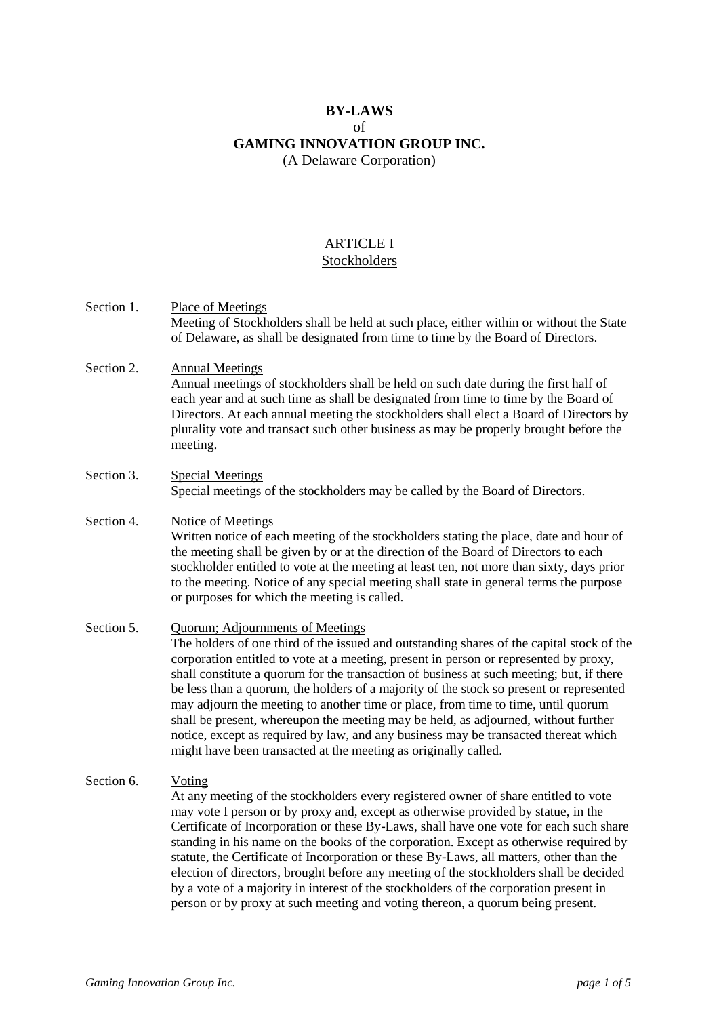# **BY-LAWS** of **GAMING INNOVATION GROUP INC.** (A Delaware Corporation)

#### ARTICLE I Stockholders

- Section 1. Place of Meetings Meeting of Stockholders shall be held at such place, either within or without the State of Delaware, as shall be designated from time to time by the Board of Directors.
- Section 2. Annual Meetings Annual meetings of stockholders shall be held on such date during the first half of each year and at such time as shall be designated from time to time by the Board of Directors. At each annual meeting the stockholders shall elect a Board of Directors by plurality vote and transact such other business as may be properly brought before the meeting.

#### Section 3. Special Meetings Special meetings of the stockholders may be called by the Board of Directors.

#### Section 4. Notice of Meetings Written notice of each meeting of the stockholders stating the place, date and hour of the meeting shall be given by or at the direction of the Board of Directors to each stockholder entitled to vote at the meeting at least ten, not more than sixty, days prior to the meeting. Notice of any special meeting shall state in general terms the purpose or purposes for which the meeting is called.

Section 5. Quorum; Adjournments of Meetings The holders of one third of the issued and outstanding shares of the capital stock of the corporation entitled to vote at a meeting, present in person or represented by proxy, shall constitute a quorum for the transaction of business at such meeting; but, if there be less than a quorum, the holders of a majority of the stock so present or represented may adjourn the meeting to another time or place, from time to time, until quorum shall be present, whereupon the meeting may be held, as adjourned, without further notice, except as required by law, and any business may be transacted thereat which might have been transacted at the meeting as originally called.

# Section 6. Voting

At any meeting of the stockholders every registered owner of share entitled to vote may vote I person or by proxy and, except as otherwise provided by statue, in the Certificate of Incorporation or these By-Laws, shall have one vote for each such share standing in his name on the books of the corporation. Except as otherwise required by statute, the Certificate of Incorporation or these By-Laws, all matters, other than the election of directors, brought before any meeting of the stockholders shall be decided by a vote of a majority in interest of the stockholders of the corporation present in person or by proxy at such meeting and voting thereon, a quorum being present.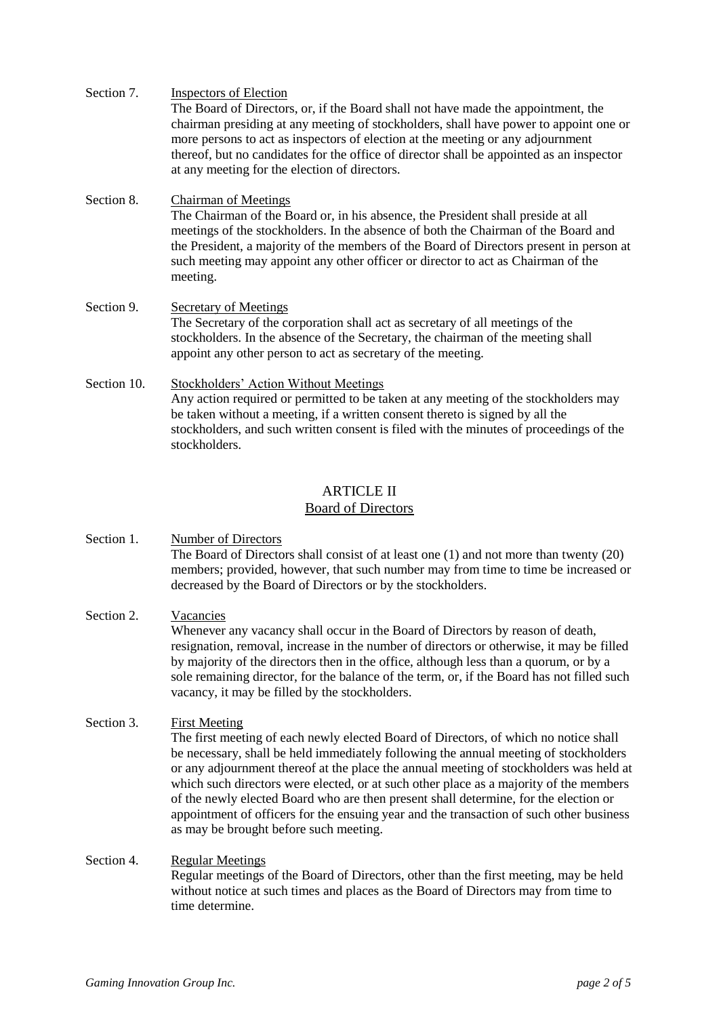| Section 7. | Inspectors of Election                                                                                                                    |
|------------|-------------------------------------------------------------------------------------------------------------------------------------------|
|            | The Board of Directors, or, if the Board shall not have made the appointment, the                                                         |
|            | chairman presiding at any meeting of stockholders, shall have power to appoint one or                                                     |
|            | more persons to act as inspectors of election at the meeting or any adjournment                                                           |
|            | thereof, but no candidates for the office of director shall be appointed as an inspector<br>at any meeting for the election of directors. |
|            |                                                                                                                                           |

#### Section 8. Chairman of Meetings The Chairman of the Board or, in his absence, the President shall preside at all meetings of the stockholders. In the absence of both the Chairman of the Board and the President, a majority of the members of the Board of Directors present in person at such meeting may appoint any other officer or director to act as Chairman of the meeting.

#### Section 9. Secretary of Meetings The Secretary of the corporation shall act as secretary of all meetings of the stockholders. In the absence of the Secretary, the chairman of the meeting shall appoint any other person to act as secretary of the meeting.

Section 10. Stockholders' Action Without Meetings Any action required or permitted to be taken at any meeting of the stockholders may be taken without a meeting, if a written consent thereto is signed by all the stockholders, and such written consent is filed with the minutes of proceedings of the stockholders.

# ARTICLE II

# Board of Directors

Section 1. Number of Directors The Board of Directors shall consist of at least one (1) and not more than twenty (20) members; provided, however, that such number may from time to time be increased or decreased by the Board of Directors or by the stockholders.

#### Section 2. Vacancies Whenever any vacancy shall occur in the Board of Directors by reason of death, resignation, removal, increase in the number of directors or otherwise, it may be filled by majority of the directors then in the office, although less than a quorum, or by a sole remaining director, for the balance of the term, or, if the Board has not filled such vacancy, it may be filled by the stockholders.

## Section 3. First Meeting

The first meeting of each newly elected Board of Directors, of which no notice shall be necessary, shall be held immediately following the annual meeting of stockholders or any adjournment thereof at the place the annual meeting of stockholders was held at which such directors were elected, or at such other place as a majority of the members of the newly elected Board who are then present shall determine, for the election or appointment of officers for the ensuing year and the transaction of such other business as may be brought before such meeting.

Section 4. Regular Meetings Regular meetings of the Board of Directors, other than the first meeting, may be held without notice at such times and places as the Board of Directors may from time to time determine.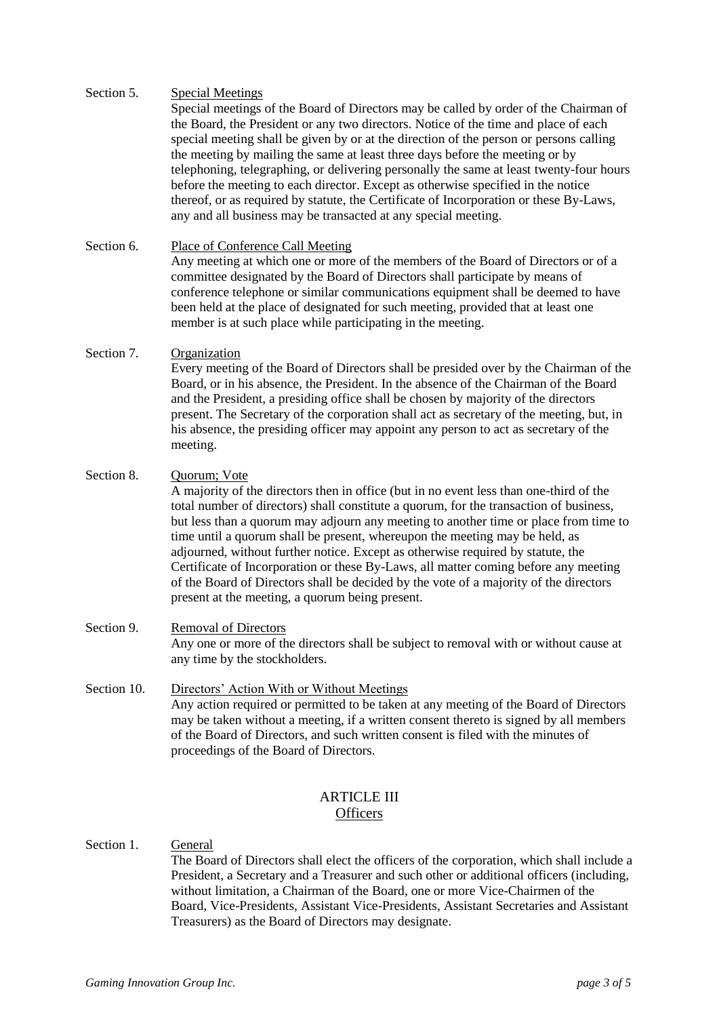#### Section 5. Special Meetings

Special meetings of the Board of Directors may be called by order of the Chairman of the Board, the President or any two directors. Notice of the time and place of each special meeting shall be given by or at the direction of the person or persons calling the meeting by mailing the same at least three days before the meeting or by telephoning, telegraphing, or delivering personally the same at least twenty-four hours before the meeting to each director. Except as otherwise specified in the notice thereof, or as required by statute, the Certificate of Incorporation or these By-Laws, any and all business may be transacted at any special meeting.

Section 6. Place of Conference Call Meeting Any meeting at which one or more of the members of the Board of Directors or of a committee designated by the Board of Directors shall participate by means of conference telephone or similar communications equipment shall be deemed to have been held at the place of designated for such meeting, provided that at least one member is at such place while participating in the meeting.

#### Section 7. Organization

Every meeting of the Board of Directors shall be presided over by the Chairman of the Board, or in his absence, the President. In the absence of the Chairman of the Board and the President, a presiding office shall be chosen by majority of the directors present. The Secretary of the corporation shall act as secretary of the meeting, but, in his absence, the presiding officer may appoint any person to act as secretary of the meeting.

#### Section 8. Quorum; Vote

A majority of the directors then in office (but in no event less than one-third of the total number of directors) shall constitute a quorum, for the transaction of business, but less than a quorum may adjourn any meeting to another time or place from time to time until a quorum shall be present, whereupon the meeting may be held, as adjourned, without further notice. Except as otherwise required by statute, the Certificate of Incorporation or these By-Laws, all matter coming before any meeting of the Board of Directors shall be decided by the vote of a majority of the directors present at the meeting, a quorum being present.

- Section 9. Removal of Directors Any one or more of the directors shall be subject to removal with or without cause at any time by the stockholders.
- Section 10. Directors' Action With or Without Meetings Any action required or permitted to be taken at any meeting of the Board of Directors may be taken without a meeting, if a written consent thereto is signed by all members of the Board of Directors, and such written consent is filed with the minutes of proceedings of the Board of Directors.

# ARTICLE III **Officers**

Section 1. General The Board of Directors shall elect the officers of the corporation, which shall include a President, a Secretary and a Treasurer and such other or additional officers (including, without limitation, a Chairman of the Board, one or more Vice-Chairmen of the Board, Vice-Presidents, Assistant Vice-Presidents, Assistant Secretaries and Assistant Treasurers) as the Board of Directors may designate.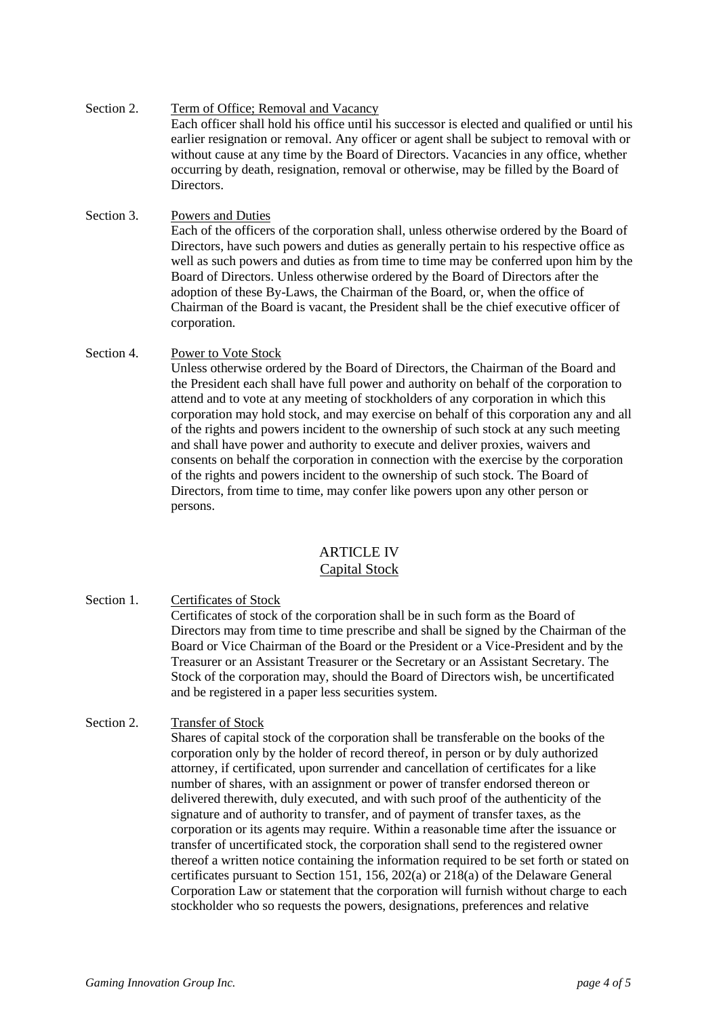- Section 2. Term of Office; Removal and Vacancy Each officer shall hold his office until his successor is elected and qualified or until his earlier resignation or removal. Any officer or agent shall be subject to removal with or without cause at any time by the Board of Directors. Vacancies in any office, whether occurring by death, resignation, removal or otherwise, may be filled by the Board of Directors.
- Section 3. Powers and Duties

Each of the officers of the corporation shall, unless otherwise ordered by the Board of Directors, have such powers and duties as generally pertain to his respective office as well as such powers and duties as from time to time may be conferred upon him by the Board of Directors. Unless otherwise ordered by the Board of Directors after the adoption of these By-Laws, the Chairman of the Board, or, when the office of Chairman of the Board is vacant, the President shall be the chief executive officer of corporation.

Section 4. Power to Vote Stock

Unless otherwise ordered by the Board of Directors, the Chairman of the Board and the President each shall have full power and authority on behalf of the corporation to attend and to vote at any meeting of stockholders of any corporation in which this corporation may hold stock, and may exercise on behalf of this corporation any and all of the rights and powers incident to the ownership of such stock at any such meeting and shall have power and authority to execute and deliver proxies, waivers and consents on behalf the corporation in connection with the exercise by the corporation of the rights and powers incident to the ownership of such stock. The Board of Directors, from time to time, may confer like powers upon any other person or persons.

# ARTICLE IV

## Capital Stock

Section 1. Certificates of Stock

Certificates of stock of the corporation shall be in such form as the Board of Directors may from time to time prescribe and shall be signed by the Chairman of the Board or Vice Chairman of the Board or the President or a Vice-President and by the Treasurer or an Assistant Treasurer or the Secretary or an Assistant Secretary. The Stock of the corporation may, should the Board of Directors wish, be uncertificated and be registered in a paper less securities system.

## Section 2. Transfer of Stock

Shares of capital stock of the corporation shall be transferable on the books of the corporation only by the holder of record thereof, in person or by duly authorized attorney, if certificated, upon surrender and cancellation of certificates for a like number of shares, with an assignment or power of transfer endorsed thereon or delivered therewith, duly executed, and with such proof of the authenticity of the signature and of authority to transfer, and of payment of transfer taxes, as the corporation or its agents may require. Within a reasonable time after the issuance or transfer of uncertificated stock, the corporation shall send to the registered owner thereof a written notice containing the information required to be set forth or stated on certificates pursuant to Section 151, 156, 202(a) or 218(a) of the Delaware General Corporation Law or statement that the corporation will furnish without charge to each stockholder who so requests the powers, designations, preferences and relative